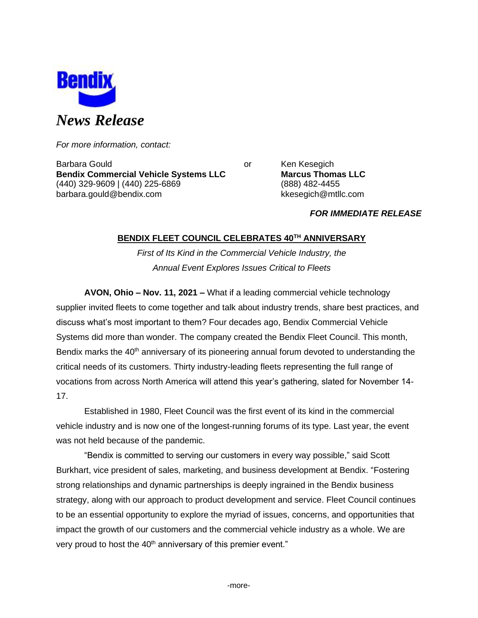

*For more information, contact:*

Barbara Gould **Communist Communist Communist Communist Communist Communist Communist Communist Communist Communist Communist Communist Communist Communist Communist Communist Communist Communist Communist Communist Communi Bendix Commercial Vehicle Systems LLC Marcus Thomas LLC** (440) 329-9609 | (440) 225-6869 (888) 482-4455 barbara.gould@bendix.com kkesegich@mtllc.com

## *FOR IMMEDIATE RELEASE*

## **BENDIX FLEET COUNCIL CELEBRATES 40TH ANNIVERSARY**

*First of Its Kind in the Commercial Vehicle Industry, the Annual Event Explores Issues Critical to Fleets*

**AVON, Ohio – Nov. 11, 2021 –** What if a leading commercial vehicle technology supplier invited fleets to come together and talk about industry trends, share best practices, and discuss what's most important to them? Four decades ago, Bendix Commercial Vehicle Systems did more than wonder. The company created the Bendix Fleet Council. This month, Bendix marks the 40<sup>th</sup> anniversary of its pioneering annual forum devoted to understanding the critical needs of its customers. Thirty industry-leading fleets representing the full range of vocations from across North America will attend this year's gathering, slated for November 14- 17.

Established in 1980, Fleet Council was the first event of its kind in the commercial vehicle industry and is now one of the longest-running forums of its type. Last year, the event was not held because of the pandemic.

"Bendix is committed to serving our customers in every way possible," said Scott Burkhart, vice president of sales, marketing, and business development at Bendix. "Fostering strong relationships and dynamic partnerships is deeply ingrained in the Bendix business strategy, along with our approach to product development and service. Fleet Council continues to be an essential opportunity to explore the myriad of issues, concerns, and opportunities that impact the growth of our customers and the commercial vehicle industry as a whole. We are very proud to host the 40<sup>th</sup> anniversary of this premier event."